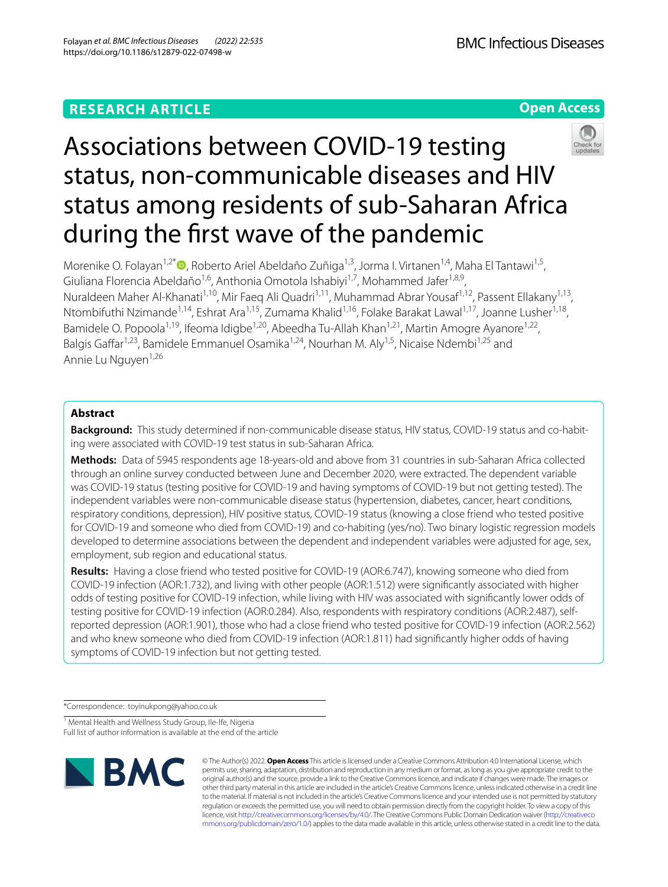# **RESEARCH ARTICLE**

**Open Access**



Morenike O. Folayan<sup>1[,](http://orcid.org/0000-0002-9008-7730)2\*</sup> , Roberto Ariel Abeldaño Zuñiga<sup>1,3</sup>, Jorma I. Virtanen<sup>1,4</sup>, Maha El Tantawi<sup>1,5</sup>, Giuliana Florencia Abeldaño<sup>1,6</sup>, Anthonia Omotola Ishabiyi<sup>1,7</sup>, Mohammed Jafer<sup>1,8,9</sup>, Nuraldeen Maher Al-Khanati<sup>1,10</sup>, Mir Faeq Ali Quadri<sup>1,11</sup>, Muhammad Abrar Yousaf<sup>1,12</sup>, Passent Ellakany<sup>1,13</sup>, Ntombifuthi Nzimande<sup>1,14</sup>, Eshrat Ara<sup>1,15</sup>, Zumama Khalid<sup>1,16</sup>, Folake Barakat Lawal<sup>1,17</sup>, Joanne Lusher<sup>1,18</sup>, Bamidele O. Popoola<sup>1,19</sup>, Ifeoma Idigbe<sup>1,20</sup>, Abeedha Tu-Allah Khan<sup>1,21</sup>, Martin Amogre Ayanore<sup>1,22</sup>, Balgis Gaffar<sup>1,23</sup>, Bamidele Emmanuel Osamika<sup>1,24</sup>, Nourhan M. Aly<sup>1,5</sup>, Nicaise Ndembi<sup>1,25</sup> and Annie Lu Nauven<sup>1,26</sup>

# **Abstract**

Background: This study determined if non-communicable disease status, HIV status, COVID-19 status and co-habiting were associated with COVID-19 test status in sub-Saharan Africa.

**Methods:** Data of 5945 respondents age 18-years-old and above from 31 countries in sub-Saharan Africa collected through an online survey conducted between June and December 2020, were extracted. The dependent variable was COVID-19 status (testing positive for COVID-19 and having symptoms of COVID-19 but not getting tested). The independent variables were non-communicable disease status (hypertension, diabetes, cancer, heart conditions, respiratory conditions, depression), HIV positive status, COVID-19 status (knowing a close friend who tested positive for COVID-19 and someone who died from COVID-19) and co-habiting (yes/no). Two binary logistic regression models developed to determine associations between the dependent and independent variables were adjusted for age, sex, employment, sub region and educational status.

**Results:** Having a close friend who tested positive for COVID-19 (AOR:6.747), knowing someone who died from COVID-19 infection (AOR:1.732), and living with other people (AOR:1.512) were signifcantly associated with higher odds of testing positive for COVID-19 infection, while living with HIV was associated with signifcantly lower odds of testing positive for COVID-19 infection (AOR:0.284). Also, respondents with respiratory conditions (AOR:2.487), selfreported depression (AOR:1.901), those who had a close friend who tested positive for COVID-19 infection (AOR:2.562) and who knew someone who died from COVID-19 infection (AOR:1.811) had signifcantly higher odds of having symptoms of COVID-19 infection but not getting tested.

\*Correspondence: toyinukpong@yahoo.co.uk

<sup>1</sup> Mental Health and Wellness Study Group, Ile-Ife, Nigeria Full list of author information is available at the end of the article



© The Author(s) 2022. **Open Access** This article is licensed under a Creative Commons Attribution 4.0 International License, which permits use, sharing, adaptation, distribution and reproduction in any medium or format, as long as you give appropriate credit to the original author(s) and the source, provide a link to the Creative Commons licence, and indicate if changes were made. The images or other third party material in this article are included in the article's Creative Commons licence, unless indicated otherwise in a credit line to the material. If material is not included in the article's Creative Commons licence and your intended use is not permitted by statutory regulation or exceeds the permitted use, you will need to obtain permission directly from the copyright holder. To view a copy of this licence, visit [http://creativecommons.org/licenses/by/4.0/.](http://creativecommons.org/licenses/by/4.0/) The Creative Commons Public Domain Dedication waiver ([http://creativeco](http://creativecommons.org/publicdomain/zero/1.0/) [mmons.org/publicdomain/zero/1.0/](http://creativecommons.org/publicdomain/zero/1.0/)) applies to the data made available in this article, unless otherwise stated in a credit line to the data.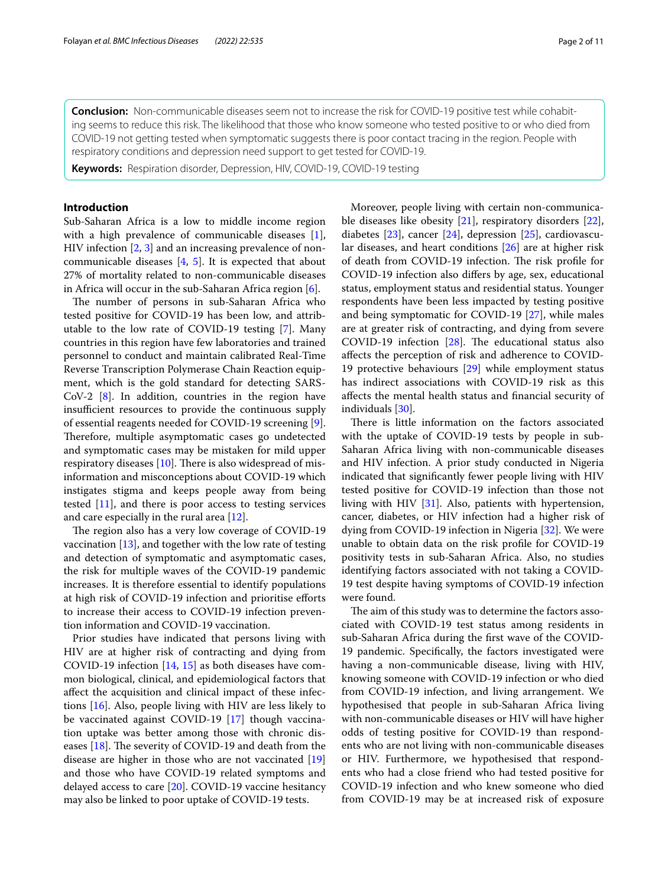**Conclusion:** Non-communicable diseases seem not to increase the risk for COVID-19 positive test while cohabit‑ ing seems to reduce this risk. The likelihood that those who know someone who tested positive to or who died from COVID-19 not getting tested when symptomatic suggests there is poor contact tracing in the region. People with respiratory conditions and depression need support to get tested for COVID-19.

**Keywords:** Respiration disorder, Depression, HIV, COVID-19, COVID-19 testing

# **Introduction**

Sub-Saharan Africa is a low to middle income region with a high prevalence of communicable diseases [\[1](#page-9-0)], HIV infection [\[2](#page-9-1), [3\]](#page-9-2) and an increasing prevalence of noncommunicable diseases [\[4,](#page-9-3) [5\]](#page-9-4). It is expected that about 27% of mortality related to non-communicable diseases in Africa will occur in the sub-Saharan Africa region [[6](#page-9-5)].

The number of persons in sub-Saharan Africa who tested positive for COVID-19 has been low, and attributable to the low rate of COVID-19 testing [\[7](#page-9-6)]. Many countries in this region have few laboratories and trained personnel to conduct and maintain calibrated Real-Time Reverse Transcription Polymerase Chain Reaction equipment, which is the gold standard for detecting SARS-CoV-2 [[8](#page-9-7)]. In addition, countries in the region have insufficient resources to provide the continuous supply of essential reagents needed for COVID-19 screening [\[9](#page-9-8)]. Therefore, multiple asymptomatic cases go undetected and symptomatic cases may be mistaken for mild upper respiratory diseases  $[10]$  $[10]$ . There is also widespread of misinformation and misconceptions about COVID-19 which instigates stigma and keeps people away from being tested [\[11](#page-9-10)], and there is poor access to testing services and care especially in the rural area [\[12\]](#page-9-11).

The region also has a very low coverage of COVID-19 vaccination [\[13](#page-9-12)], and together with the low rate of testing and detection of symptomatic and asymptomatic cases, the risk for multiple waves of the COVID-19 pandemic increases. It is therefore essential to identify populations at high risk of COVID-19 infection and prioritise eforts to increase their access to COVID-19 infection prevention information and COVID-19 vaccination.

Prior studies have indicated that persons living with HIV are at higher risk of contracting and dying from COVID-19 infection [[14](#page-9-13), [15](#page-9-14)] as both diseases have common biological, clinical, and epidemiological factors that afect the acquisition and clinical impact of these infections [\[16](#page-9-15)]. Also, people living with HIV are less likely to be vaccinated against COVID-19 [\[17](#page-9-16)] though vaccination uptake was better among those with chronic diseases  $[18]$  $[18]$ . The severity of COVID-19 and death from the disease are higher in those who are not vaccinated [[19](#page-9-18)] and those who have COVID-19 related symptoms and delayed access to care [\[20](#page-9-19)]. COVID-19 vaccine hesitancy may also be linked to poor uptake of COVID-19 tests.

Moreover, people living with certain non-communicable diseases like obesity [\[21](#page-9-20)], respiratory disorders [\[22](#page-9-21)], diabetes [\[23\]](#page-9-22), cancer [[24\]](#page-9-23), depression [[25](#page-10-0)], cardiovascular diseases, and heart conditions [[26](#page-10-1)] are at higher risk of death from COVID-19 infection. The risk profile for COVID-19 infection also difers by age, sex, educational status, employment status and residential status. Younger respondents have been less impacted by testing positive and being symptomatic for COVID-19 [[27](#page-10-2)], while males are at greater risk of contracting, and dying from severe COVID-19 infection  $[28]$ . The educational status also afects the perception of risk and adherence to COVID-19 protective behaviours [[29\]](#page-10-4) while employment status has indirect associations with COVID-19 risk as this afects the mental health status and fnancial security of individuals [\[30\]](#page-10-5).

There is little information on the factors associated with the uptake of COVID-19 tests by people in sub-Saharan Africa living with non-communicable diseases and HIV infection. A prior study conducted in Nigeria indicated that signifcantly fewer people living with HIV tested positive for COVID-19 infection than those not living with HIV [\[31\]](#page-10-6). Also, patients with hypertension, cancer, diabetes, or HIV infection had a higher risk of dying from COVID-19 infection in Nigeria [\[32](#page-10-7)]. We were unable to obtain data on the risk profle for COVID-19 positivity tests in sub-Saharan Africa. Also, no studies identifying factors associated with not taking a COVID-19 test despite having symptoms of COVID-19 infection were found.

The aim of this study was to determine the factors associated with COVID-19 test status among residents in sub-Saharan Africa during the frst wave of the COVID-19 pandemic. Specifcally, the factors investigated were having a non-communicable disease, living with HIV, knowing someone with COVID-19 infection or who died from COVID-19 infection, and living arrangement. We hypothesised that people in sub-Saharan Africa living with non-communicable diseases or HIV will have higher odds of testing positive for COVID-19 than respondents who are not living with non-communicable diseases or HIV. Furthermore, we hypothesised that respondents who had a close friend who had tested positive for COVID-19 infection and who knew someone who died from COVID-19 may be at increased risk of exposure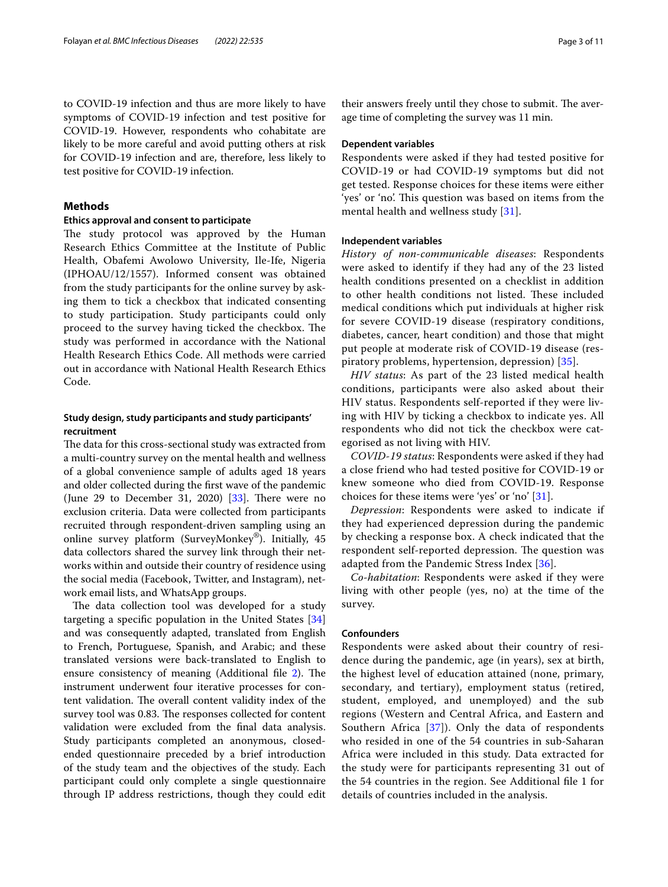to COVID-19 infection and thus are more likely to have symptoms of COVID-19 infection and test positive for COVID-19. However, respondents who cohabitate are likely to be more careful and avoid putting others at risk for COVID-19 infection and are, therefore, less likely to test positive for COVID-19 infection.

# **Methods**

# **Ethics approval and consent to participate**

The study protocol was approved by the Human Research Ethics Committee at the Institute of Public Health, Obafemi Awolowo University, Ile-Ife, Nigeria (IPHOAU/12/1557). Informed consent was obtained from the study participants for the online survey by asking them to tick a checkbox that indicated consenting to study participation. Study participants could only proceed to the survey having ticked the checkbox. The study was performed in accordance with the National Health Research Ethics Code. All methods were carried out in accordance with National Health Research Ethics Code.

# **Study design, study participants and study participants' recruitment**

The data for this cross-sectional study was extracted from a multi-country survey on the mental health and wellness of a global convenience sample of adults aged 18 years and older collected during the frst wave of the pandemic (June 29 to December 31, 2020)  $[33]$  $[33]$ . There were no exclusion criteria. Data were collected from participants recruited through respondent-driven sampling using an online survey platform (SurveyMonkey®). Initially, 45 data collectors shared the survey link through their networks within and outside their country of residence using the social media (Facebook, Twitter, and Instagram), network email lists, and WhatsApp groups.

The data collection tool was developed for a study targeting a specifc population in the United States [[34](#page-10-9)] and was consequently adapted, translated from English to French, Portuguese, Spanish, and Arabic; and these translated versions were back-translated to English to ensure consistency of meaning (Additional file [2](#page-8-0)). The instrument underwent four iterative processes for content validation. The overall content validity index of the survey tool was 0.83. The responses collected for content validation were excluded from the fnal data analysis. Study participants completed an anonymous, closedended questionnaire preceded by a brief introduction of the study team and the objectives of the study. Each participant could only complete a single questionnaire through IP address restrictions, though they could edit their answers freely until they chose to submit. The average time of completing the survey was 11 min.

# **Dependent variables**

Respondents were asked if they had tested positive for COVID-19 or had COVID-19 symptoms but did not get tested. Response choices for these items were either 'yes' or 'no'. This question was based on items from the mental health and wellness study [\[31](#page-10-6)].

### **Independent variables**

*History of non-communicable diseases*: Respondents were asked to identify if they had any of the 23 listed health conditions presented on a checklist in addition to other health conditions not listed. These included medical conditions which put individuals at higher risk for severe COVID-19 disease (respiratory conditions, diabetes, cancer, heart condition) and those that might put people at moderate risk of COVID-19 disease (respiratory problems, hypertension, depression) [\[35\]](#page-10-10).

*HIV status*: As part of the 23 listed medical health conditions, participants were also asked about their HIV status. Respondents self-reported if they were living with HIV by ticking a checkbox to indicate yes. All respondents who did not tick the checkbox were categorised as not living with HIV.

*COVID-19 status*: Respondents were asked if they had a close friend who had tested positive for COVID-19 or knew someone who died from COVID-19. Response choices for these items were 'yes' or 'no' [[31\]](#page-10-6).

*Depression*: Respondents were asked to indicate if they had experienced depression during the pandemic by checking a response box. A check indicated that the respondent self-reported depression. The question was adapted from the Pandemic Stress Index [[36\]](#page-10-11).

*Co-habitation*: Respondents were asked if they were living with other people (yes, no) at the time of the survey.

# **Confounders**

Respondents were asked about their country of residence during the pandemic, age (in years), sex at birth, the highest level of education attained (none, primary, secondary, and tertiary), employment status (retired, student, employed, and unemployed) and the sub regions (Western and Central Africa, and Eastern and Southern Africa [[37](#page-10-12)]). Only the data of respondents who resided in one of the 54 countries in sub-Saharan Africa were included in this study. Data extracted for the study were for participants representing 31 out of the 54 countries in the region. See Additional fle 1 for details of countries included in the analysis.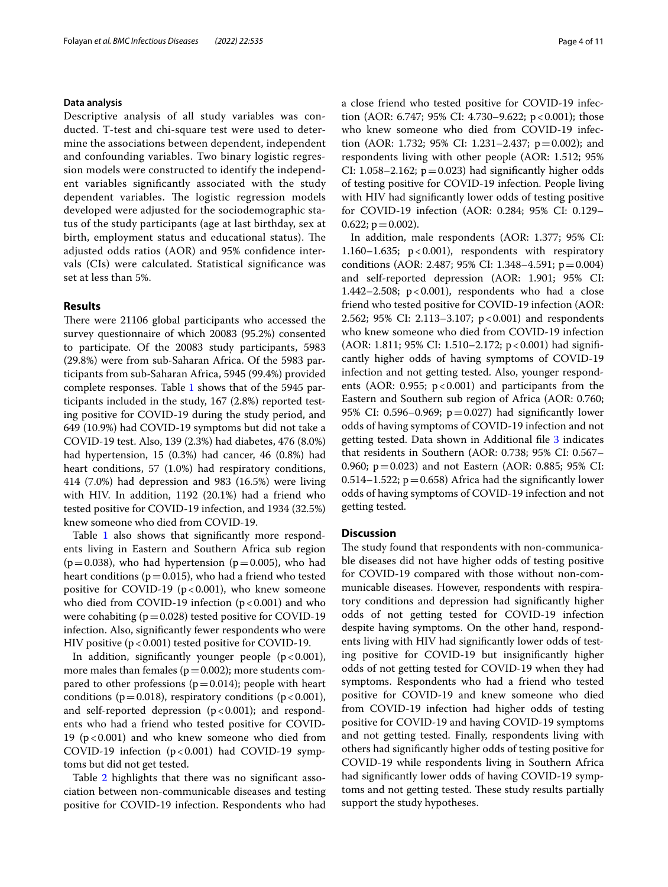# **Data analysis**

Descriptive analysis of all study variables was conducted. T-test and chi-square test were used to determine the associations between dependent, independent and confounding variables. Two binary logistic regression models were constructed to identify the independent variables signifcantly associated with the study dependent variables. The logistic regression models developed were adjusted for the sociodemographic status of the study participants (age at last birthday, sex at birth, employment status and educational status). The adjusted odds ratios (AOR) and 95% confdence intervals (CIs) were calculated. Statistical signifcance was set at less than 5%.

# **Results**

There were 21106 global participants who accessed the survey questionnaire of which 20083 (95.2%) consented to participate. Of the 20083 study participants, 5983 (29.8%) were from sub-Saharan Africa. Of the 5983 participants from sub-Saharan Africa, 5945 (99.4%) provided complete responses. Table [1](#page-4-0) shows that of the 5945 participants included in the study, 167 (2.8%) reported testing positive for COVID-19 during the study period, and 649 (10.9%) had COVID-19 symptoms but did not take a COVID-19 test. Also, 139 (2.3%) had diabetes, 476 (8.0%) had hypertension, 15 (0.3%) had cancer, 46 (0.8%) had heart conditions, 57 (1.0%) had respiratory conditions, 414 (7.0%) had depression and 983 (16.5%) were living with HIV. In addition, 1192 (20.1%) had a friend who tested positive for COVID-19 infection, and 1934 (32.5%) knew someone who died from COVID-19.

Table [1](#page-4-0) also shows that significantly more respondents living in Eastern and Southern Africa sub region  $(p=0.038)$ , who had hypertension  $(p=0.005)$ , who had heart conditions ( $p=0.015$ ), who had a friend who tested positive for COVID-19 ( $p < 0.001$ ), who knew someone who died from COVID-19 infection  $(p < 0.001)$  and who were cohabiting  $(p=0.028)$  tested positive for COVID-19 infection. Also, signifcantly fewer respondents who were HIV positive  $(p < 0.001)$  tested positive for COVID-19.

In addition, significantly younger people  $(p < 0.001)$ , more males than females ( $p=0.002$ ); more students compared to other professions ( $p=0.014$ ); people with heart conditions ( $p=0.018$ ), respiratory conditions ( $p<0.001$ ), and self-reported depression  $(p < 0.001)$ ; and respondents who had a friend who tested positive for COVID-19 ( $p < 0.001$ ) and who knew someone who died from COVID-19 infection  $(p < 0.001)$  had COVID-19 symptoms but did not get tested.

Table [2](#page-6-0) highlights that there was no signifcant association between non-communicable diseases and testing positive for COVID-19 infection. Respondents who had a close friend who tested positive for COVID-19 infection (AOR: 6.747; 95% CI: 4.730–9.622; p < 0.001); those who knew someone who died from COVID-19 infection (AOR: 1.732; 95% CI: 1.231–2.437; p=0.002); and respondents living with other people (AOR: 1.512; 95% CI: 1.058–2.162;  $p=0.023$ ) had significantly higher odds of testing positive for COVID-19 infection. People living with HIV had significantly lower odds of testing positive for COVID-19 infection (AOR: 0.284; 95% CI: 0.129–  $0.622$ ;  $p = 0.002$ ).

In addition, male respondents (AOR: 1.377; 95% CI: 1.160–1.635;  $p < 0.001$ ), respondents with respiratory conditions (AOR: 2.487; 95% CI: 1.348–4.591; p=0.004) and self-reported depression (AOR: 1.901; 95% CI: 1.442–2.508;  $p < 0.001$ ), respondents who had a close friend who tested positive for COVID-19 infection (AOR: 2.562; 95% CI: 2.113–3.107; p<0.001) and respondents who knew someone who died from COVID-19 infection (AOR: 1.811; 95% CI: 1.510–2.172; p<0.001) had signifcantly higher odds of having symptoms of COVID-19 infection and not getting tested. Also, younger respondents (AOR:  $0.955$ ;  $p < 0.001$ ) and participants from the Eastern and Southern sub region of Africa (AOR: 0.760; 95% CI: 0.596–0.969;  $p=0.027$ ) had significantly lower odds of having symptoms of COVID-19 infection and not getting tested. Data shown in Additional fle [3](#page-8-1) indicates that residents in Southern (AOR: 0.738; 95% CI: 0.567– 0.960;  $p = 0.023$ ) and not Eastern (AOR: 0.885; 95% CI: 0.514–1.522;  $p=0.658$ ) Africa had the significantly lower odds of having symptoms of COVID-19 infection and not getting tested.

# **Discussion**

The study found that respondents with non-communicable diseases did not have higher odds of testing positive for COVID-19 compared with those without non-communicable diseases. However, respondents with respiratory conditions and depression had signifcantly higher odds of not getting tested for COVID-19 infection despite having symptoms. On the other hand, respondents living with HIV had signifcantly lower odds of testing positive for COVID-19 but insignifcantly higher odds of not getting tested for COVID-19 when they had symptoms. Respondents who had a friend who tested positive for COVID-19 and knew someone who died from COVID-19 infection had higher odds of testing positive for COVID-19 and having COVID-19 symptoms and not getting tested. Finally, respondents living with others had signifcantly higher odds of testing positive for COVID-19 while respondents living in Southern Africa had signifcantly lower odds of having COVID-19 symptoms and not getting tested. These study results partially support the study hypotheses.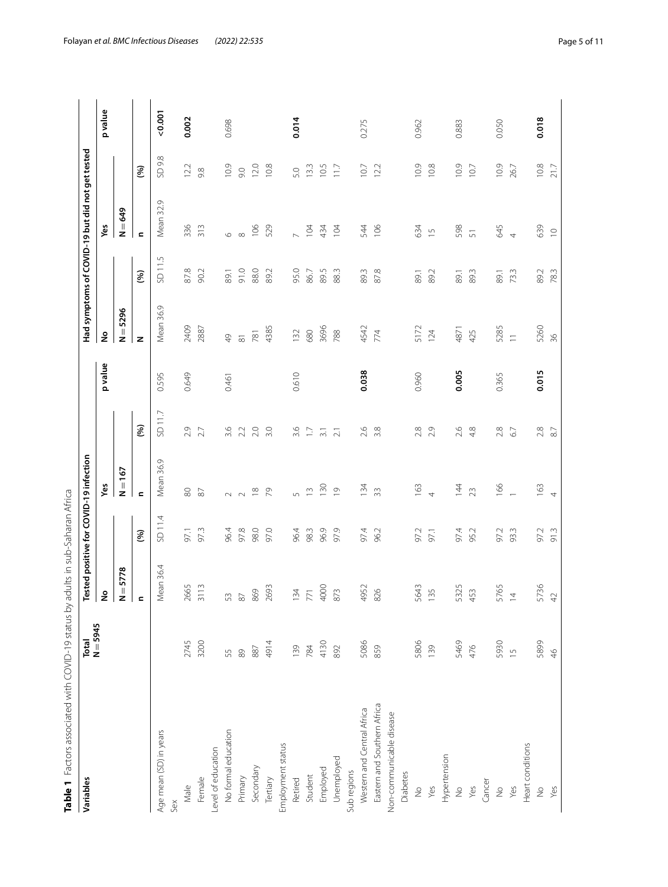<span id="page-4-0"></span>

| Table 1 Factors associated with COVID-19 status by<br>Variables | Total         | Tested positive for COVID-19 infection<br>adults in sub-Saharan Africa |         |                    |                  |         |                     |        | Had symptoms of COVID-19 but did not get tested |           |         |
|-----------------------------------------------------------------|---------------|------------------------------------------------------------------------|---------|--------------------|------------------|---------|---------------------|--------|-------------------------------------------------|-----------|---------|
|                                                                 | $N = 5945$    | ş                                                                      |         | Yes                |                  | p value | ş                   |        | Yes                                             |           | p value |
|                                                                 |               | $N = 5778$                                                             |         | $N = 167$          |                  |         | $N = 5296$          |        | $N = 649$                                       |           |         |
|                                                                 |               | $\blacksquare$                                                         | (%)     | $\blacksquare$     | (%)              |         | z                   | (%)    | $\blacksquare$                                  | <b>S</b>  |         |
| Age mean (SD) in years                                          |               | Mean 36.4                                                              | SD 11.4 | Mean 36.9          | SD 11.7          | 0.595   | Mean 36.9           | SD11.5 | Ō.<br>Mean 32.                                  | 9.8<br>SD | 0.001   |
| Sex                                                             |               |                                                                        |         |                    |                  |         |                     |        |                                                 |           |         |
| Male                                                            | 2745          | 2665                                                                   | 97.1    | $\rm 80$           | 2.9              | 0.649   | 2409                | 87.8   | 336                                             | 12.2      | 0.002   |
| Female                                                          | 3200          | 3113                                                                   | 97.3    | $\approx$          | 2.7              |         | 2887                | 90.2   | 313                                             | 9.8       |         |
| Level of education                                              |               |                                                                        |         |                    |                  |         |                     |        |                                                 |           |         |
| No formal education                                             | 55            | 53                                                                     | 96.4    | $\sim$             | 3.6              | 0.461   | $\frac{1}{6}$       | 89.1   | $\circ$                                         | 10.9      | 0.698   |
| Primary                                                         | 89            | $\approx$                                                              | 97.8    | $\sim$             | 2.2              |         | $\overline{\infty}$ | 91.0   | $\infty$                                        | 9.0       |         |
| Secondary                                                       | $88\,$        | 869                                                                    | 98.0    | $\frac{8}{2}$      | 2.0              |         | 781                 | 88.0   | 106                                             | 12.0      |         |
| Tertiary                                                        | 4914          | 2693                                                                   | 97.0    |                    | 3.0              |         | 4385                | 89.2   | 529                                             | 10.8      |         |
| Employment status                                               |               |                                                                        |         |                    |                  |         |                     |        |                                                 |           |         |
| Retired                                                         | 139           | 134                                                                    | 96.4    | $\sqrt{2}$         | 3.6              | 0.610   | 132                 | 95.0   | $\overline{\phantom{0}}$                        | 5.0       | 0.014   |
| Student                                                         | 784           | 771                                                                    | 98.3    | $\widetilde{\Box}$ | $\overline{17}$  |         | 680                 | 86.7   | 104                                             | 13.3      |         |
| Employed                                                        | 4130          | 4000                                                                   | 96.9    | 130                | $\overline{3}$ . |         | 3696                | 89.5   | 434                                             | 10.5      |         |
| Unemployed                                                      | 892           | 873                                                                    | 97.9    | $\overline{\circ}$ | $\overline{21}$  |         | 788                 | 88.3   | 104                                             | 117       |         |
| Sub regions                                                     |               |                                                                        |         |                    |                  |         |                     |        |                                                 |           |         |
| Western and Central Africa                                      | 5086          | 4952                                                                   | 97.4    | 134                | 2.6              | 0.038   | 4542                | 89.3   | 544                                             | 10.7      | 0.275   |
| Eastern and Southern Africa                                     | 859           | 826                                                                    | 96.2    | 33                 | 3.8              |         | 774                 | 87.8   | 106                                             | 12.2      |         |
| Non-communicable disease                                        |               |                                                                        |         |                    |                  |         |                     |        |                                                 |           |         |
| Diabetes                                                        |               |                                                                        |         |                    |                  |         |                     |        |                                                 |           |         |
| $\frac{1}{2}$                                                   | 5806          | 5643                                                                   | 97.2    | 163                | 2.8              | 0.960   | 5172                | 89.1   | 634                                             | 10.9      | 0.962   |
| Yes                                                             | 139           | 135                                                                    | 97.1    | $\overline{4}$     | 2.9              |         | 124                 | 89.2   | $\overline{\phantom{0}}$                        | 10.8      |         |
| Hypertension                                                    |               |                                                                        |         |                    |                  |         |                     |        |                                                 |           |         |
| $\frac{6}{2}$                                                   | 5469          | 5325                                                                   | 97.4    | $\overline{4}$     | 2.6              | 0.005   | 4871                | 89.1   | 598                                             | 10.9      | 0.883   |
| Yes                                                             | 476           | 453                                                                    | 95.2    | 23                 | 4.8              |         | 425                 | 89.3   | 51                                              | 10.7      |         |
| Cancer                                                          |               |                                                                        |         |                    |                  |         |                     |        |                                                 |           |         |
| $\frac{0}{2}$                                                   | 5930          | 5765                                                                   | 97.2    | 166                | 2.8              | 0.365   | 5285                | 89.1   | 645                                             | 10.9      | 0.050   |
| Yes                                                             | $\frac{1}{2}$ | $\overline{4}$                                                         | 93.3    | $\overline{a}$     | $67$             |         | $\overline{1}$      | 73.3   | $\overline{4}$                                  | 26.7      |         |
| Heart conditions                                                |               |                                                                        |         |                    |                  |         |                     |        |                                                 |           |         |
| $\frac{1}{2}$                                                   | 5899          | 5736                                                                   | 97.2    | 163                | $2.8\,$          | 0.015   | 5260                | 89.2   | 639                                             | $10.8\,$  | 0.018   |
| Yes                                                             | $\frac{4}{5}$ | $4^{\circ}$                                                            | 91.3    | $\overline{4}$     | $\overline{8}$   |         | 36                  | 78.3   | $\supseteq$                                     | 21.7      |         |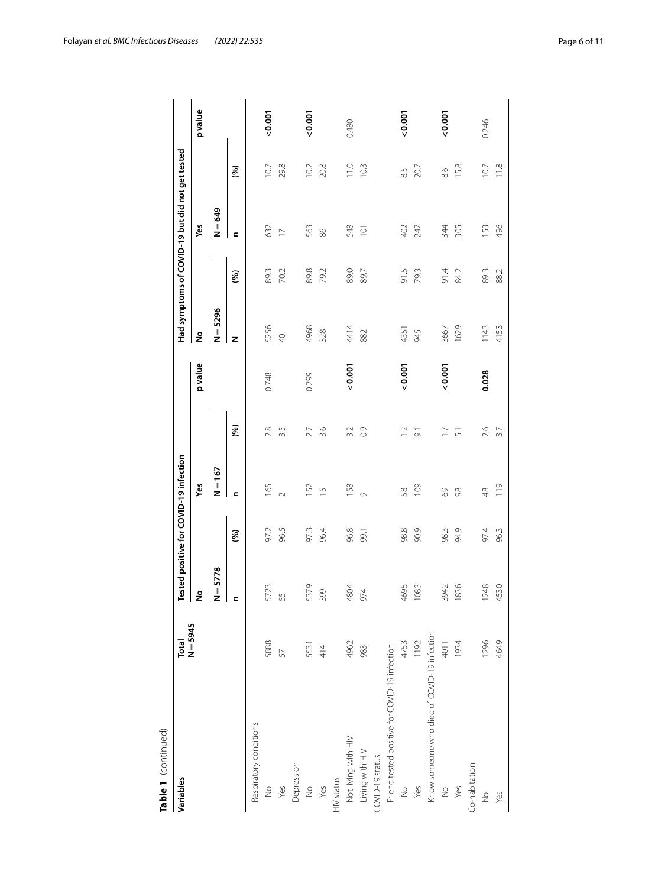| Table 1 (continued)                           |            |            |      |                                        |                 |         |                |      |                                                 |      |         |
|-----------------------------------------------|------------|------------|------|----------------------------------------|-----------------|---------|----------------|------|-------------------------------------------------|------|---------|
| Variables                                     | Total      |            |      | Tested positive for COVID-19 infection |                 |         |                |      | Had symptoms of COVID-19 but did not get tested |      |         |
|                                               | $N = 5945$ | ş          |      | Yes                                    |                 | p value | å              |      | Yes                                             |      | p value |
|                                               |            | $N = 5778$ |      | $N = 167$                              |                 |         | $N = 5296$     |      | $N = 649$                                       |      |         |
|                                               |            | c          | (96) | <b>c</b>                               | (96)            |         | z              | (%)  | <b>c</b>                                        | (%)  |         |
| Respiratory conditions                        |            |            |      |                                        |                 |         |                |      |                                                 |      |         |
| $\frac{1}{2}$                                 | 5888       | 5723       | 97.2 | 165                                    | 2.8             | 0.748   | 5256           | 89.3 | 632                                             | 10.7 | 0.001   |
| Yes                                           | 57         | 55         | 96.5 | $\sim$                                 | 3.5             |         | $\overline{Q}$ | 70.2 | $\overline{\phantom{0}}$                        | 29.8 |         |
| Depression                                    |            |            |      |                                        |                 |         |                |      |                                                 |      |         |
| $\frac{1}{2}$                                 | 5531       | 5379       | 97.3 | 152                                    | 2.7             | 0.299   | 4968           | 89.8 | 563                                             | 10.2 | 0.001   |
| Yes                                           | 414        | 399        | 96.4 | $\overline{1}$                         | 3.6             |         | 328            | 79.2 | 86                                              | 20.8 |         |
| $H/V$ status                                  |            |            |      |                                        |                 |         |                |      |                                                 |      |         |
| Not living with HIV                           | 4962       | 4804       | 96.8 | 158                                    | 3.2             | 0.001   | 4414           | 89.0 | 548                                             | 11.0 | 0.480   |
| Living with HIV                               | 983        | 974        | 99.1 | $\circ$                                | 0.9             |         | 882            | 89.7 | $\overline{O}$                                  | 10.3 |         |
| COVID-19 status                               |            |            |      |                                        |                 |         |                |      |                                                 |      |         |
| Friend tested positive for COVID-19 infection |            |            |      |                                        |                 |         |                |      |                                                 |      |         |
| $\frac{1}{2}$                                 | 4753       | 4695       | 98.8 | 58                                     | $\overline{12}$ | 0.001   | 4351           | 91.5 | 402                                             | 8.5  | 0.001   |
| Yes                                           | 1192       | 1083       | 90.9 | 109                                    | $\overline{5}$  |         | 945            | 79.3 | 247                                             | 20.7 |         |
| Know someone who died of COVID-19 infection   |            |            |      |                                        |                 |         |                |      |                                                 |      |         |
| $\frac{1}{2}$                                 | 4011       | 3942       | 98.3 | 69                                     | $\overline{1}$  | 0.001   | 3667           | 91.4 | 344                                             | 8.6  | 0.001   |
| Yes                                           | 1934       | 1836       | 94.9 | 88                                     | 51              |         | 1629           | 84.2 | 305                                             | 15.8 |         |
| Co-habitation                                 |            |            |      |                                        |                 |         |                |      |                                                 |      |         |
| $\frac{1}{2}$                                 | 1296       | 1248       | 97.4 | $\frac{8}{3}$                          | 2.6             | 0.028   | 1143           | 89.3 | 153                                             | 10.7 | 0.246   |
| Yes                                           | 4649       | 4530       | 96.3 | 119                                    | 3.7             |         | 4153           | 88.2 | 496                                             | 11.8 |         |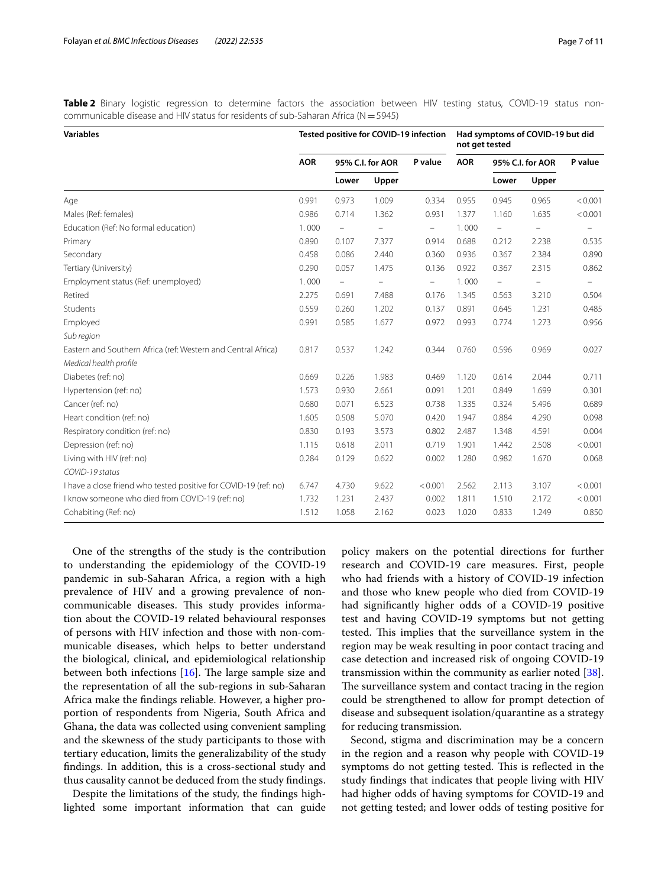<span id="page-6-0"></span>Table 2 Binary logistic regression to determine factors the association between HIV testing status, COVID-19 status noncommunicable disease and HIV status for residents of sub-Saharan Africa ( $N=5945$ )

| <b>Variables</b>                                                 |            | Tested positive for COVID-19 infection |                   |                          |            | not get tested           | Had symptoms of COVID-19 but did |                          |
|------------------------------------------------------------------|------------|----------------------------------------|-------------------|--------------------------|------------|--------------------------|----------------------------------|--------------------------|
|                                                                  | <b>AOR</b> |                                        | 95% C.I. for AOR  | P value                  | <b>AOR</b> |                          | 95% C.I. for AOR                 | P value                  |
|                                                                  |            | Lower                                  | Upper             |                          |            | Lower                    | Upper                            |                          |
| Age                                                              | 0.991      | 0.973                                  | 1.009             | 0.334                    | 0.955      | 0.945                    | 0.965                            | < 0.001                  |
| Males (Ref: females)                                             | 0.986      | 0.714                                  | 1.362             | 0.931                    | 1.377      | 1.160                    | 1.635                            | < 0.001                  |
| Education (Ref: No formal education)                             | 1.000      | $\equiv$                               |                   | $\overline{\phantom{a}}$ | 1.000      | $\overline{\phantom{0}}$ |                                  |                          |
| Primary                                                          | 0.890      | 0.107                                  | 7.377             | 0.914                    | 0.688      | 0.212                    | 2.238                            | 0.535                    |
| Secondary                                                        | 0.458      | 0.086                                  | 2.440             | 0.360                    | 0.936      | 0.367                    | 2.384                            | 0.890                    |
| Tertiary (University)                                            | 0.290      | 0.057                                  | 1.475             | 0.136                    | 0.922      | 0.367                    | 2.315                            | 0.862                    |
| Employment status (Ref: unemployed)                              | 1.000      | $\equiv$                               | $\qquad \qquad -$ | $\overline{\phantom{m}}$ | 1.000      | $\equiv$                 | $\qquad \qquad -$                | $\overline{\phantom{0}}$ |
| Retired                                                          | 2.275      | 0.691                                  | 7.488             | 0.176                    | 1.345      | 0.563                    | 3.210                            | 0.504                    |
| Students                                                         | 0.559      | 0.260                                  | 1.202             | 0.137                    | 0.891      | 0.645                    | 1.231                            | 0.485                    |
| Employed                                                         | 0.991      | 0.585                                  | 1.677             | 0.972                    | 0.993      | 0.774                    | 1.273                            | 0.956                    |
| Sub region                                                       |            |                                        |                   |                          |            |                          |                                  |                          |
| Eastern and Southern Africa (ref: Western and Central Africa)    | 0.817      | 0.537                                  | 1.242             | 0.344                    | 0.760      | 0.596                    | 0.969                            | 0.027                    |
| Medical health profile                                           |            |                                        |                   |                          |            |                          |                                  |                          |
| Diabetes (ref: no)                                               | 0.669      | 0.226                                  | 1.983             | 0.469                    | 1.120      | 0.614                    | 2.044                            | 0.711                    |
| Hypertension (ref: no)                                           | 1.573      | 0.930                                  | 2.661             | 0.091                    | 1.201      | 0.849                    | 1.699                            | 0.301                    |
| Cancer (ref: no)                                                 | 0.680      | 0.071                                  | 6.523             | 0.738                    | 1.335      | 0.324                    | 5.496                            | 0.689                    |
| Heart condition (ref: no)                                        | 1.605      | 0.508                                  | 5.070             | 0.420                    | 1.947      | 0.884                    | 4.290                            | 0.098                    |
| Respiratory condition (ref: no)                                  | 0.830      | 0.193                                  | 3.573             | 0.802                    | 2.487      | 1.348                    | 4.591                            | 0.004                    |
| Depression (ref: no)                                             | 1.115      | 0.618                                  | 2.011             | 0.719                    | 1.901      | 1.442                    | 2.508                            | < 0.001                  |
| Living with HIV (ref: no)                                        | 0.284      | 0.129                                  | 0.622             | 0.002                    | 1.280      | 0.982                    | 1.670                            | 0.068                    |
| COVID-19 status                                                  |            |                                        |                   |                          |            |                          |                                  |                          |
| I have a close friend who tested positive for COVID-19 (ref: no) | 6.747      | 4.730                                  | 9.622             | < 0.001                  | 2.562      | 2.113                    | 3.107                            | < 0.001                  |
| I know someone who died from COVID-19 (ref: no)                  | 1.732      | 1.231                                  | 2.437             | 0.002                    | 1.811      | 1.510                    | 2.172                            | < 0.001                  |
| Cohabiting (Ref: no)                                             | 1.512      | 1.058                                  | 2.162             | 0.023                    | 1.020      | 0.833                    | 1.249                            | 0.850                    |

One of the strengths of the study is the contribution to understanding the epidemiology of the COVID-19 pandemic in sub-Saharan Africa, a region with a high prevalence of HIV and a growing prevalence of noncommunicable diseases. This study provides information about the COVID-19 related behavioural responses of persons with HIV infection and those with non-communicable diseases, which helps to better understand the biological, clinical, and epidemiological relationship between both infections  $[16]$  $[16]$ . The large sample size and the representation of all the sub-regions in sub-Saharan Africa make the fndings reliable. However, a higher proportion of respondents from Nigeria, South Africa and Ghana, the data was collected using convenient sampling and the skewness of the study participants to those with tertiary education, limits the generalizability of the study fndings. In addition, this is a cross-sectional study and thus causality cannot be deduced from the study fndings.

Despite the limitations of the study, the fndings highlighted some important information that can guide

policy makers on the potential directions for further research and COVID-19 care measures. First, people who had friends with a history of COVID-19 infection and those who knew people who died from COVID-19 had signifcantly higher odds of a COVID-19 positive test and having COVID-19 symptoms but not getting tested. This implies that the surveillance system in the region may be weak resulting in poor contact tracing and case detection and increased risk of ongoing COVID-19 transmission within the community as earlier noted [\[38](#page-10-13)]. The surveillance system and contact tracing in the region could be strengthened to allow for prompt detection of disease and subsequent isolation/quarantine as a strategy for reducing transmission.

Second, stigma and discrimination may be a concern in the region and a reason why people with COVID-19 symptoms do not getting tested. This is reflected in the study fndings that indicates that people living with HIV had higher odds of having symptoms for COVID-19 and not getting tested; and lower odds of testing positive for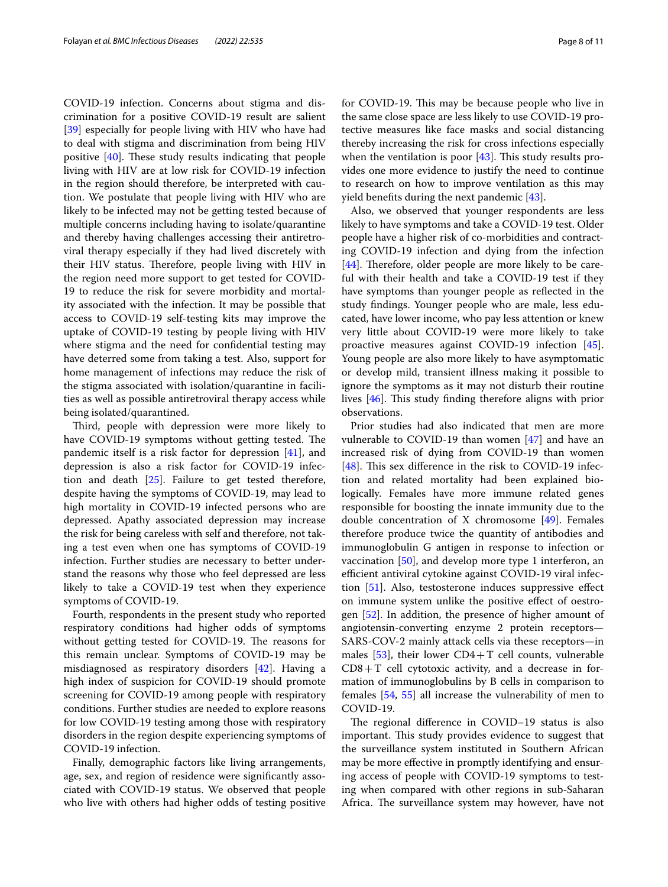COVID-19 infection. Concerns about stigma and discrimination for a positive COVID-19 result are salient [[39\]](#page-10-14) especially for people living with HIV who have had to deal with stigma and discrimination from being HIV positive  $[40]$  $[40]$  $[40]$ . These study results indicating that people living with HIV are at low risk for COVID-19 infection in the region should therefore, be interpreted with caution. We postulate that people living with HIV who are likely to be infected may not be getting tested because of multiple concerns including having to isolate/quarantine and thereby having challenges accessing their antiretroviral therapy especially if they had lived discretely with their HIV status. Therefore, people living with HIV in the region need more support to get tested for COVID-19 to reduce the risk for severe morbidity and mortality associated with the infection. It may be possible that access to COVID-19 self-testing kits may improve the uptake of COVID-19 testing by people living with HIV where stigma and the need for confdential testing may have deterred some from taking a test. Also, support for home management of infections may reduce the risk of the stigma associated with isolation/quarantine in facilities as well as possible antiretroviral therapy access while being isolated/quarantined.

Third, people with depression were more likely to have COVID-19 symptoms without getting tested. The pandemic itself is a risk factor for depression [\[41](#page-10-16)], and depression is also a risk factor for COVID-19 infection and death [\[25](#page-10-0)]. Failure to get tested therefore, despite having the symptoms of COVID-19, may lead to high mortality in COVID-19 infected persons who are depressed. Apathy associated depression may increase the risk for being careless with self and therefore, not taking a test even when one has symptoms of COVID-19 infection. Further studies are necessary to better understand the reasons why those who feel depressed are less likely to take a COVID-19 test when they experience symptoms of COVID-19.

Fourth, respondents in the present study who reported respiratory conditions had higher odds of symptoms without getting tested for COVID-19. The reasons for this remain unclear. Symptoms of COVID-19 may be misdiagnosed as respiratory disorders [\[42](#page-10-17)]. Having a high index of suspicion for COVID-19 should promote screening for COVID-19 among people with respiratory conditions. Further studies are needed to explore reasons for low COVID-19 testing among those with respiratory disorders in the region despite experiencing symptoms of COVID-19 infection.

Finally, demographic factors like living arrangements, age, sex, and region of residence were signifcantly associated with COVID-19 status. We observed that people who live with others had higher odds of testing positive for COVID-19. This may be because people who live in the same close space are less likely to use COVID-19 protective measures like face masks and social distancing thereby increasing the risk for cross infections especially when the ventilation is poor  $[43]$  $[43]$ . This study results provides one more evidence to justify the need to continue to research on how to improve ventilation as this may yield benefts during the next pandemic [[43\]](#page-10-18).

Also, we observed that younger respondents are less likely to have symptoms and take a COVID-19 test. Older people have a higher risk of co-morbidities and contracting COVID-19 infection and dying from the infection  $[44]$  $[44]$ . Therefore, older people are more likely to be careful with their health and take a COVID-19 test if they have symptoms than younger people as refected in the study fndings. Younger people who are male, less educated, have lower income, who pay less attention or knew very little about COVID-19 were more likely to take proactive measures against COVID-19 infection [\[45](#page-10-20)]. Young people are also more likely to have asymptomatic or develop mild, transient illness making it possible to ignore the symptoms as it may not disturb their routine lives  $[46]$  $[46]$  $[46]$ . This study finding therefore aligns with prior observations.

Prior studies had also indicated that men are more vulnerable to COVID-19 than women  $[47]$  $[47]$  and have an increased risk of dying from COVID-19 than women [[48\]](#page-10-23). This sex difference in the risk to COVID-19 infection and related mortality had been explained biologically. Females have more immune related genes responsible for boosting the innate immunity due to the double concentration of X chromosome [[49](#page-10-24)]. Females therefore produce twice the quantity of antibodies and immunoglobulin G antigen in response to infection or vaccination [[50\]](#page-10-25), and develop more type 1 interferon, an efficient antiviral cytokine against COVID-19 viral infection [[51\]](#page-10-26). Also, testosterone induces suppressive efect on immune system unlike the positive efect of oestrogen [\[52\]](#page-10-27). In addition, the presence of higher amount of angiotensin-converting enzyme 2 protein receptors— SARS-COV-2 mainly attack cells via these receptors—in males [\[53](#page-10-28)], their lower  $CD4+T$  cell counts, vulnerable  $CD8+T$  cell cytotoxic activity, and a decrease in formation of immunoglobulins by B cells in comparison to females [\[54](#page-10-29), [55\]](#page-10-30) all increase the vulnerability of men to COVID-19.

The regional difference in COVID-19 status is also important. This study provides evidence to suggest that the surveillance system instituted in Southern African may be more efective in promptly identifying and ensuring access of people with COVID-19 symptoms to testing when compared with other regions in sub-Saharan Africa. The surveillance system may however, have not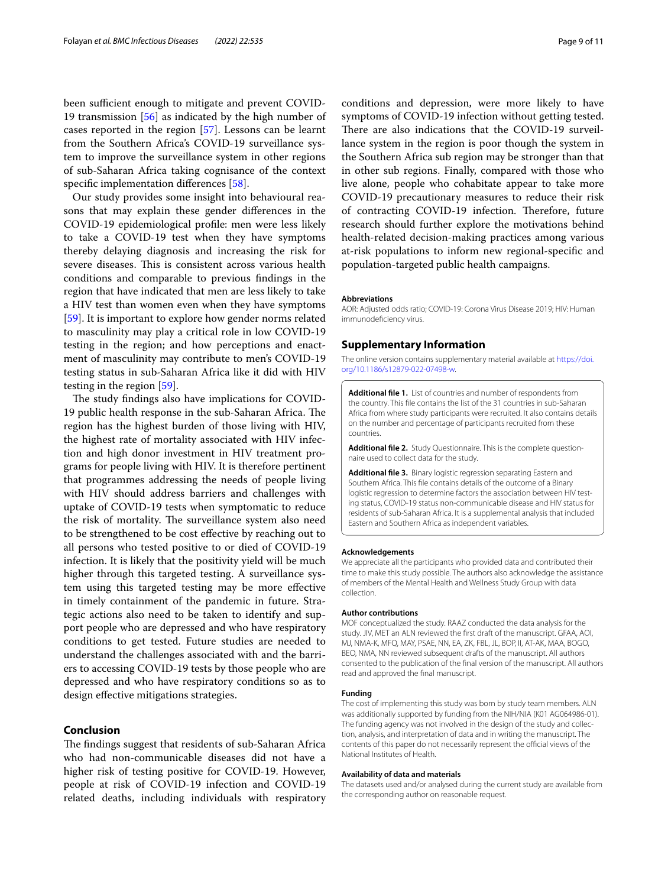been sufficient enough to mitigate and prevent COVID-19 transmission [\[56](#page-10-31)] as indicated by the high number of cases reported in the region [\[57](#page-10-32)]. Lessons can be learnt from the Southern Africa's COVID-19 surveillance system to improve the surveillance system in other regions of sub-Saharan Africa taking cognisance of the context specific implementation differences [\[58\]](#page-10-33).

Our study provides some insight into behavioural reasons that may explain these gender diferences in the COVID-19 epidemiological profle: men were less likely to take a COVID-19 test when they have symptoms thereby delaying diagnosis and increasing the risk for severe diseases. This is consistent across various health conditions and comparable to previous fndings in the region that have indicated that men are less likely to take a HIV test than women even when they have symptoms [[59\]](#page-10-34). It is important to explore how gender norms related to masculinity may play a critical role in low COVID-19 testing in the region; and how perceptions and enactment of masculinity may contribute to men's COVID-19 testing status in sub-Saharan Africa like it did with HIV testing in the region [\[59\]](#page-10-34).

The study findings also have implications for COVID-19 public health response in the sub-Saharan Africa. The region has the highest burden of those living with HIV, the highest rate of mortality associated with HIV infection and high donor investment in HIV treatment programs for people living with HIV. It is therefore pertinent that programmes addressing the needs of people living with HIV should address barriers and challenges with uptake of COVID-19 tests when symptomatic to reduce the risk of mortality. The surveillance system also need to be strengthened to be cost efective by reaching out to all persons who tested positive to or died of COVID-19 infection. It is likely that the positivity yield will be much higher through this targeted testing. A surveillance system using this targeted testing may be more efective in timely containment of the pandemic in future. Strategic actions also need to be taken to identify and support people who are depressed and who have respiratory conditions to get tested. Future studies are needed to understand the challenges associated with and the barriers to accessing COVID-19 tests by those people who are depressed and who have respiratory conditions so as to design efective mitigations strategies.

# **Conclusion**

The findings suggest that residents of sub-Saharan Africa who had non-communicable diseases did not have a higher risk of testing positive for COVID-19. However, people at risk of COVID-19 infection and COVID-19 related deaths, including individuals with respiratory conditions and depression, were more likely to have symptoms of COVID-19 infection without getting tested. There are also indications that the COVID-19 surveillance system in the region is poor though the system in the Southern Africa sub region may be stronger than that in other sub regions. Finally, compared with those who live alone, people who cohabitate appear to take more COVID-19 precautionary measures to reduce their risk of contracting COVID-19 infection. Therefore, future research should further explore the motivations behind health-related decision-making practices among various at-risk populations to inform new regional-specifc and population-targeted public health campaigns.

# **Abbreviations**

AOR: Adjusted odds ratio; COVID-19: Corona Virus Disease 2019; HIV: Human immunodefciency virus.

### **Supplementary Information**

The online version contains supplementary material available at [https://doi.](https://doi.org/10.1186/s12879-022-07498-w) [org/10.1186/s12879-022-07498-w.](https://doi.org/10.1186/s12879-022-07498-w)

**Additional fle 1.** List of countries and number of respondents from the country. This fle contains the list of the 31 countries in sub-Saharan Africa from where study participants were recruited. It also contains details on the number and percentage of participants recruited from these countries.

<span id="page-8-1"></span><span id="page-8-0"></span>Additional file 2. Study Questionnaire. This is the complete questionnaire used to collect data for the study.

**Additional fle 3.** Binary logistic regression separating Eastern and Southern Africa. This fle contains details of the outcome of a Binary logistic regression to determine factors the association between HIV testing status, COVID-19 status non-communicable disease and HIV status for residents of sub-Saharan Africa. It is a supplemental analysis that included Eastern and Southern Africa as independent variables.

#### **Acknowledgements**

We appreciate all the participants who provided data and contributed their time to make this study possible. The authors also acknowledge the assistance of members of the Mental Health and Wellness Study Group with data collection.

#### **Author contributions**

MOF conceptualized the study. RAAZ conducted the data analysis for the study. JIV, MET an ALN reviewed the frst draft of the manuscript. GFAA, AOI, MJ, NMA-K, MFQ, MAY, PSAE, NN, EA, ZK, FBL, JL, BOP, II, AT-AK, MAA, BOGO, BEO, NMA, NN reviewed subsequent drafts of the manuscript. All authors consented to the publication of the fnal version of the manuscript. All authors read and approved the fnal manuscript.

#### **Funding**

The cost of implementing this study was born by study team members. ALN was additionally supported by funding from the NIH/NIA (K01 AG064986-01). The funding agency was not involved in the design of the study and collection, analysis, and interpretation of data and in writing the manuscript. The contents of this paper do not necessarily represent the official views of the National Institutes of Health.

#### **Availability of data and materials**

The datasets used and/or analysed during the current study are available from the corresponding author on reasonable request.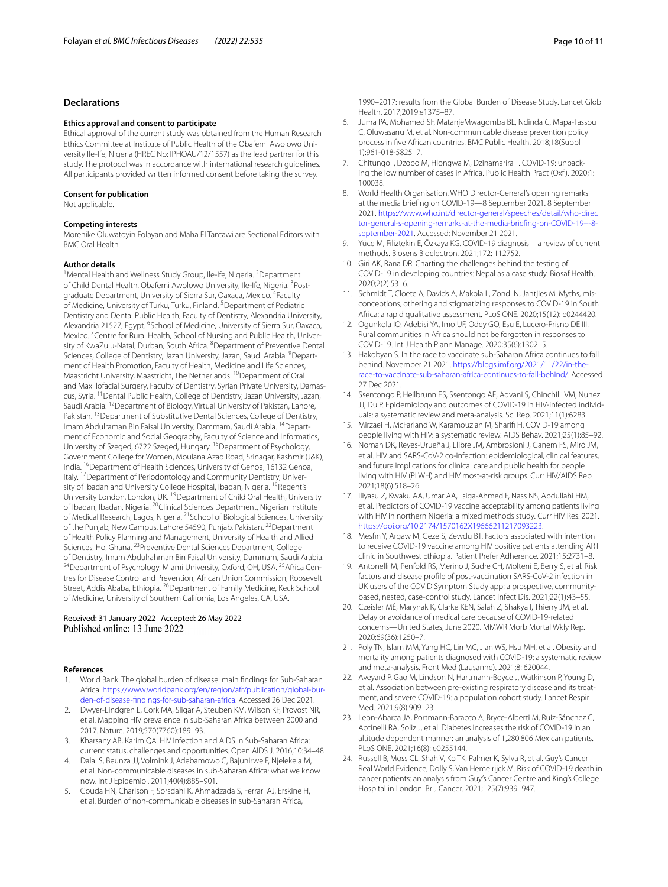# **Declarations**

#### **Ethics approval and consent to participate**

Ethical approval of the current study was obtained from the Human Research Ethics Committee at Institute of Public Health of the Obafemi Awolowo University Ile-Ife, Nigeria (HREC No: IPHOAU/12/1557) as the lead partner for this study. The protocol was in accordance with international research guidelines. All participants provided written informed consent before taking the survey.

#### **Consent for publication**

Not applicable.

# **Competing interests**

Morenike Oluwatoyin Folayan and Maha El Tantawi are Sectional Editors with BMC Oral Health.

#### **Author details**

<sup>1</sup> Mental Health and Wellness Study Group, Ile-Ife, Nigeria. <sup>2</sup> Department of Child Dental Health, Obafemi Awolowo University, Ile-Ife, Nigeria. <sup>3</sup>Postgraduate Department, University of Sierra Sur, Oaxaca, Mexico. <sup>4</sup>Faculty of Medicine, University of Turku, Turku, Finland. <sup>5</sup> Department of Pediatric Dentistry and Dental Public Health, Faculty of Dentistry, Alexandria University, Alexandria 21527, Egypt. <sup>6</sup>School of Medicine, University of Sierra Sur, Oaxaca, Mexico. <sup>7</sup> Centre for Rural Health, School of Nursing and Public Health, University of KwaZulu-Natal, Durban, South Africa. <sup>8</sup>Department of Preventive Dental Sciences, College of Dentistry, Jazan University, Jazan, Saudi Arabia. <sup>9</sup>Department of Health Promotion, Faculty of Health, Medicine and Life Sciences, Maastricht University, Maastricht, The Netherlands. <sup>10</sup>Department of Oral and Maxillofacial Surgery, Faculty of Dentistry, Syrian Private University, Damascus, Syria. 11Dental Public Health, College of Dentistry, Jazan University, Jazan, Saudi Arabia. <sup>12</sup>Department of Biology, Virtual University of Pakistan, Lahore, Pakistan. <sup>13</sup> Department of Substitutive Dental Sciences, College of Dentistry, Imam Abdulraman Bin Faisal University, Dammam, Saudi Arabia. <sup>14</sup>Department of Economic and Social Geography, Faculty of Science and Informatics, University of Szeged, 6722 Szeged, Hungary. 15Department of Psychology, Government College for Women, Moulana Azad Road, Srinagar, Kashmir (J&K), India. <sup>16</sup>Department of Health Sciences, University of Genoa, 16132 Genoa, Italy. <sup>17</sup> Department of Periodontology and Community Dentistry, University of Ibadan and University College Hospital, Ibadan, Nigeria. <sup>18</sup>Regent's University London, London, UK. 19Department of Child Oral Health, University of Ibadan, Ibadan, Nigeria. 20Clinical Sciences Department, Nigerian Institute of Medical Research, Lagos, Nigeria. <sup>21</sup> School of Biological Sciences, University of the Punjab, New Campus, Lahore 54590, Punjab, Pakistan. <sup>22</sup>Department of Health Policy Planning and Management, University of Health and Allied Sciences, Ho, Ghana. <sup>23</sup> Preventive Dental Sciences Department, College of Dentistry, Imam Abdulrahman Bin Faisal University, Dammam, Saudi Arabia.<br><sup>24</sup>Department of Psychology, Miami University, Oxford, OH, USA. <sup>25</sup>Africa Centres for Disease Control and Prevention, African Union Commission, Roosevelt Street, Addis Ababa, Ethiopia. <sup>26</sup>Department of Family Medicine, Keck School of Medicine, University of Southern California, Los Angeles, CA, USA.

### Received: 31 January 2022 Accepted: 26 May 2022 Published online: 13 June 2022

#### **References**

- <span id="page-9-0"></span>1. World Bank. The global burden of disease: main fndings for Sub-Saharan Africa. https://www.worldbank.org/en/region/afr/publication/global-bur[den-of-disease-fndings-for-sub-saharan-africa.](https://www.worldbank.org/en/region/afr/publication/global-burden-of-disease-findings-for-sub-saharan-africa) Accessed 26 Dec 2021.
- <span id="page-9-1"></span>2. Dwyer-Lindgren L, Cork MA, Sligar A, Steuben KM, Wilson KF, Provost NR, et al. Mapping HIV prevalence in sub-Saharan Africa between 2000 and 2017. Nature. 2019;570(7760):189–93.
- <span id="page-9-2"></span>3. Kharsany AB, Karim QA. HIV infection and AIDS in Sub-Saharan Africa: current status, challenges and opportunities. Open AIDS J. 2016;10:34–48.
- <span id="page-9-3"></span>4. Dalal S, Beunza JJ, Volmink J, Adebamowo C, Bajunirwe F, Njelekela M, et al. Non-communicable diseases in sub-Saharan Africa: what we know now. Int J Epidemiol. 2011;40(4):885–901.
- <span id="page-9-4"></span>5. Gouda HN, Charlson F, Sorsdahl K, Ahmadzada S, Ferrari AJ, Erskine H, et al. Burden of non-communicable diseases in sub-Saharan Africa,

1990–2017: results from the Global Burden of Disease Study. Lancet Glob Health. 2017;2019:e1375–87.

- <span id="page-9-5"></span>6. Juma PA, Mohamed SF, MatanjeMwagomba BL, Ndinda C, Mapa-Tassou C, Oluwasanu M, et al. Non-communicable disease prevention policy process in fve African countries. BMC Public Health. 2018;18(Suppl 1):961-018-5825–7.
- <span id="page-9-6"></span>7. Chitungo I, Dzobo M, Hlongwa M, Dzinamarira T. COVID-19: unpacking the low number of cases in Africa. Public Health Pract (Oxf). 2020;1: 100038.
- <span id="page-9-7"></span>8. World Health Organisation. WHO Director-General's opening remarks at the media briefng on COVID-19—8 September 2021. 8 September 2021. [https://www.who.int/director-general/speeches/detail/who-direc](https://www.who.int/director-general/speeches/detail/who-director-general-s-opening-remarks-at-the-media-briefing-on-COVID-19---8-september-2021) [tor-general-s-opening-remarks-at-the-media-briefing-on-COVID-19---8](https://www.who.int/director-general/speeches/detail/who-director-general-s-opening-remarks-at-the-media-briefing-on-COVID-19---8-september-2021) [september-2021](https://www.who.int/director-general/speeches/detail/who-director-general-s-opening-remarks-at-the-media-briefing-on-COVID-19---8-september-2021). Accessed: November 21 2021.
- <span id="page-9-8"></span>9. Yüce M, Filiztekin E, Özkaya KG. COVID-19 diagnosis—a review of current methods. Biosens Bioelectron. 2021;172: 112752.
- <span id="page-9-9"></span>10. Giri AK, Rana DR. Charting the challenges behind the testing of COVID-19 in developing countries: Nepal as a case study. Biosaf Health. 2020;2(2):53–6.
- <span id="page-9-10"></span>11. Schmidt T, Cloete A, Davids A, Makola L, Zondi N, Jantjies M. Myths, misconceptions, othering and stigmatizing responses to COVID-19 in South Africa: a rapid qualitative assessment. PLoS ONE. 2020;15(12): e0244420.
- <span id="page-9-11"></span>12. Ogunkola IO, Adebisi YA, Imo UF, Odey GO, Esu E, Lucero-Prisno DE III. Rural communities in Africa should not be forgotten in responses to COVID-19. Int J Health Plann Manage. 2020;35(6):1302–5.
- <span id="page-9-12"></span>13. Hakobyan S. In the race to vaccinate sub-Saharan Africa continues to fall behind. November 21 2021. [https://blogs.imf.org/2021/11/22/in-the](https://blogs.imf.org/2021/11/22/in-the-race-to-vaccinate-sub-saharan-africa-continues-to-fall-behind/) [race-to-vaccinate-sub-saharan-africa-continues-to-fall-behind/.](https://blogs.imf.org/2021/11/22/in-the-race-to-vaccinate-sub-saharan-africa-continues-to-fall-behind/) Accessed 27 Dec 2021.
- <span id="page-9-13"></span>14. Ssentongo P, Heilbrunn ES, Ssentongo AE, Advani S, Chinchilli VM, Nunez JJ, Du P. Epidemiology and outcomes of COVID-19 in HIV-infected individuals: a systematic review and meta-analysis. Sci Rep. 2021;11(1):6283.
- <span id="page-9-14"></span>15. Mirzaei H, McFarland W, Karamouzian M, Sharif H. COVID-19 among people living with HIV: a systematic review. AIDS Behav. 2021;25(1):85–92.
- <span id="page-9-15"></span>16. Nomah DK, Reyes-Urueña J, Llibre JM, Ambrosioni J, Ganem FS, Miró JM, et al. HIV and SARS-CoV-2 co-infection: epidemiological, clinical features, and future implications for clinical care and public health for people living with HIV (PLWH) and HIV most-at-risk groups. Curr HIV/AIDS Rep. 2021;18(6):518–26.
- <span id="page-9-16"></span>17. Iliyasu Z, Kwaku AA, Umar AA, Tsiga-Ahmed F, Nass NS, Abdullahi HM, et al. Predictors of COVID-19 vaccine acceptability among patients living with HIV in northern Nigeria: a mixed methods study. Curr HIV Res. 2021. [https://doi.org/10.2174/1570162X19666211217093223.](https://doi.org/10.2174/1570162X19666211217093223)
- <span id="page-9-17"></span>18. Mesfn Y, Argaw M, Geze S, Zewdu BT. Factors associated with intention to receive COVID-19 vaccine among HIV positive patients attending ART clinic in Southwest Ethiopia. Patient Prefer Adherence. 2021;15:2731–8.
- <span id="page-9-18"></span>19. Antonelli M, Penfold RS, Merino J, Sudre CH, Molteni E, Berry S, et al. Risk factors and disease profle of post-vaccination SARS-CoV-2 infection in UK users of the COVID Symptom Study app: a prospective, communitybased, nested, case-control study. Lancet Infect Dis. 2021;22(1):43–55.
- <span id="page-9-19"></span>20. Czeisler MÉ, Marynak K, Clarke KEN, Salah Z, Shakya I, Thierry JM, et al. Delay or avoidance of medical care because of COVID-19-related concerns—United States, June 2020. MMWR Morb Mortal Wkly Rep. 2020;69(36):1250–7.
- <span id="page-9-20"></span>21. Poly TN, Islam MM, Yang HC, Lin MC, Jian WS, Hsu MH, et al. Obesity and mortality among patients diagnosed with COVID-19: a systematic review and meta-analysis. Front Med (Lausanne). 2021;8: 620044.
- <span id="page-9-21"></span>22. Aveyard P, Gao M, Lindson N, Hartmann-Boyce J, Watkinson P, Young D, et al. Association between pre-existing respiratory disease and its treatment, and severe COVID-19: a population cohort study. Lancet Respir Med. 2021;9(8):909–23.
- <span id="page-9-22"></span>23. Leon-Abarca JA, Portmann-Baracco A, Bryce-Alberti M, Ruiz-Sánchez C, Accinelli RA, Soliz J, et al. Diabetes increases the risk of COVID-19 in an altitude dependent manner: an analysis of 1,280,806 Mexican patients. PLoS ONE. 2021;16(8): e0255144.
- <span id="page-9-23"></span>24. Russell B, Moss CL, Shah V, Ko TK, Palmer K, Sylva R, et al. Guy's Cancer Real World Evidence, Dolly S, Van Hemelrijck M. Risk of COVID-19 death in cancer patients: an analysis from Guy's Cancer Centre and King's College Hospital in London. Br J Cancer. 2021;125(7):939–947.